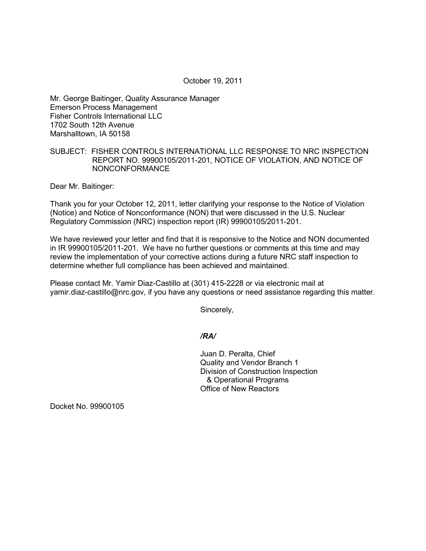October 19, 2011

Mr. George Baitinger, Quality Assurance Manager Emerson Process Management Fisher Controls International LLC 1702 South 12th Avenue Marshalltown, IA 50158

## SUBJECT: FISHER CONTROLS INTERNATIONAL LLC RESPONSE TO NRC INSPECTION REPORT NO. 99900105/2011-201, NOTICE OF VIOLATION, AND NOTICE OF NONCONFORMANCE

Dear Mr. Baitinger:

Thank you for your October 12, 2011, letter clarifying your response to the Notice of Violation (Notice) and Notice of Nonconformance (NON) that were discussed in the U.S. Nuclear Regulatory Commission (NRC) inspection report (IR) 99900105/2011-201.

We have reviewed your letter and find that it is responsive to the Notice and NON documented in IR 99900105/2011-201. We have no further questions or comments at this time and may review the implementation of your corrective actions during a future NRC staff inspection to determine whether full compliance has been achieved and maintained.

Please contact Mr. Yamir Diaz-Castillo at (301) 415-2228 or via electronic mail at yamir.diaz-castillo@nrc.gov, if you have any questions or need assistance regarding this matter.

Sincerely,

## */RA/*

Juan D. Peralta, Chief Quality and Vendor Branch 1 Division of Construction Inspection & Operational Programs Office of New Reactors

Docket No. 99900105